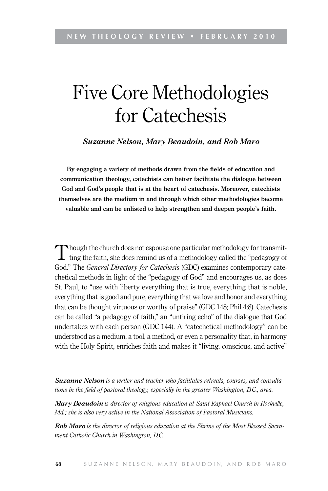# Five Core Methodologies for Catechesis

*Suzanne Nelson, Mary Beaudoin, and Rob Maro*

**By engaging a variety of methods drawn from the fields of education and communication theology, catechists can better facilitate the dialogue between God and God's people that is at the heart of catechesis. Moreover, catechists themselves are the medium in and through which other methodologies become valuable and can be enlisted to help strengthen and deepen people's faith.**

Though the church does not espouse one particular methodology for transmit- $\perp$  ting the faith, she does remind us of a methodology called the "pedagogy of God." The *General Directory for Catechesis* (GDC) examines contemporary catechetical methods in light of the "pedagogy of God" and encourages us, as does St. Paul, to "use with liberty everything that is true, everything that is noble, everything that is good and pure, everything that we love and honor and everything that can be thought virtuous or worthy of praise" (GDC 148; Phil 4:8). Catechesis can be called "a pedagogy of faith," an "untiring echo" of the dialogue that God undertakes with each person (GDC 144). A "catechetical methodology" can be understood as a medium, a tool, a method, or even a personality that, in harmony with the Holy Spirit, enriches faith and makes it "living, conscious, and active"

*Suzanne Nelson is a writer and teacher who facilitates retreats, courses, and consultations in the field of pastoral theology, especially in the greater Washington, D.C., area.*

*Mary Beaudoin is director of religious education at Saint Raphael Church in Rockville, Md.; she is also very active in the National Association of Pastoral Musicians.*

*Rob Maro is the director of religious education at the Shrine of the Most Blessed Sacrament Catholic Church in Washington, D.C.*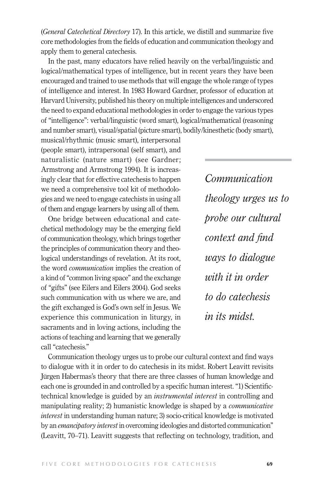(*General Catechetical Directory* 17). In this article, we distill and summarize five core methodologies from the fields of education and communication theology and apply them to general catechesis.

In the past, many educators have relied heavily on the verbal/linguistic and logical/mathematical types of intelligence, but in recent years they have been encouraged and trained to use methods that will engage the whole range of types of intelligence and interest. In 1983 Howard Gardner, professor of education at Harvard University, published his theory on multiple intelligences and underscored the need to expand educational methodologies in order to engage the various types of "intelligence": verbal/linguistic (word smart), logical/mathematical (reasoning and number smart), visual/spatial (picture smart), bodily/kinesthetic (body smart),

musical/rhythmic (music smart), interpersonal (people smart), intrapersonal (self smart), and naturalistic (nature smart) (see Gardner; Armstrong and Armstrong 1994). It is increasingly clear that for effective catechesis to happen we need a comprehensive tool kit of methodologies and we need to engage catechists in using all of them and engage learners by using all of them.

One bridge between educational and catechetical methodology may be the emerging field of communication theology, which brings together the principles of communication theory and theological understandings of revelation. At its root, the word *communication* implies the creation of a kind of "common living space" and the exchange of "gifts" (see Eilers and Eilers 2004). God seeks such communication with us where we are, and the gift exchanged is God's own self in Jesus. We experience this communication in liturgy, in sacraments and in loving actions, including the actions of teaching and learning that we generally call "catechesis."

*Communication theology urges us to probe our cultural context and find ways to dialogue with it in order to do catechesis in its midst.*

Communication theology urges us to probe our cultural context and find ways to dialogue with it in order to do catechesis in its midst. Robert Leavitt revisits Jürgen Habermas's theory that there are three classes of human knowledge and each one is grounded in and controlled by a specific human interest. "1) Scientifictechnical knowledge is guided by an *instrumental interest* in controlling and manipulating reality; 2) humanistic knowledge is shaped by a *communicative interest* in understanding human nature; 3) socio-critical knowledge is motivated by an *emancipatory interest* in overcoming ideologies and distorted communication" (Leavitt, 70–71). Leavitt suggests that reflecting on technology, tradition, and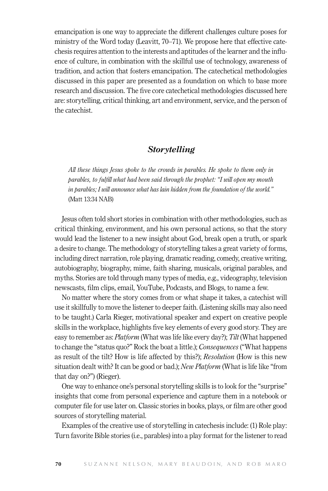emancipation is one way to appreciate the different challenges culture poses for ministry of the Word today (Leavitt, 70–71). We propose here that effective catechesis requires attention to the interests and aptitudes of the learner and the influence of culture, in combination with the skillful use of technology, awareness of tradition, and action that fosters emancipation. The catechetical methodologies discussed in this paper are presented as a foundation on which to base more research and discussion. The five core catechetical methodologies discussed here are: storytelling, critical thinking, art and environment, service, and the person of the catechist.

## *Storytelling*

*All these things Jesus spoke to the crowds in parables. He spoke to them only in parables, to fulfill what had been said through the prophet: "I will open my mouth in parables; I will announce what has lain hidden from the foundation of the world."* (Matt 13:34 NAB)

Jesus often told short stories in combination with other methodologies, such as critical thinking, environment, and his own personal actions, so that the story would lead the listener to a new insight about God, break open a truth, or spark a desire to change. The methodology of storytelling takes a great variety of forms, including direct narration, role playing, dramatic reading, comedy, creative writing, autobiography, biography, mime, faith sharing, musicals, original parables, and myths. Stories are told through many types of media, e.g., videography, television newscasts, film clips, email, YouTube, Podcasts, and Blogs, to name a few.

No matter where the story comes from or what shape it takes, a catechist will use it skillfully to move the listener to deeper faith. (Listening skills may also need to be taught.) Carla Rieger, motivational speaker and expert on creative people skills in the workplace, highlights five key elements of every good story. They are easy to remember as: *Platform* (What was life like every day?); *Tilt* (What happened to change the "status quo?" Rock the boat a little.); *Consequences* ("What happens as result of the tilt? How is life affected by this?); *Resolution* (How is this new situation dealt with? It can be good or bad.); *New Platform* (What is life like "from that day on?") (Rieger).

One way to enhance one's personal storytelling skills is to look for the "surprise" insights that come from personal experience and capture them in a notebook or computer file for use later on. Classic stories in books, plays, or film are other good sources of storytelling material.

Examples of the creative use of storytelling in catechesis include: (1) Role play: Turn favorite Bible stories (i.e., parables) into a play format for the listener to read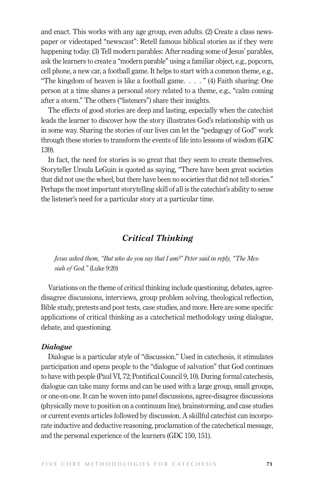and enact. This works with any age group, even adults. (2) Create a class newspaper or videotaped "newscast": Retell famous biblical stories as if they were happening today. (3) Tell modern parables: After reading some of Jesus' parables, ask the learners to create a "modern parable" using a familiar object, e.g., popcorn, cell phone, a new car, a football game. It helps to start with a common theme, e.g., "The kingdom of heaven is like a football game. . . . " (4) Faith sharing: One person at a time shares a personal story related to a theme, e.g., "calm coming after a storm." The others ("listeners") share their insights.

The effects of good stories are deep and lasting, especially when the catechist leads the learner to discover how the story illustrates God's relationship with us in some way. Sharing the stories of our lives can let the "pedagogy of God" work through these stories to transform the events of life into lessons of wisdom (GDC 139).

In fact, the need for stories is so great that they seem to create themselves. Storyteller Ursula LeGuin is quoted as saying, "There have been great societies that did not use the wheel, but there have been no societies that did not tell stories." Perhaps the most important storytelling skill of all is the catechist's ability to sense the listener's need for a particular story at a particular time.

# *Critical Thinking*

*Jesus asked them, "But who do you say that I am?" Peter said in reply, "The Messiah of God."* (Luke 9:20)

Variations on the theme of critical thinking include questioning, debates, agreedisagree discussions, interviews, group problem solving, theological reflection, Bible study, pretests and post tests, case studies, and more. Here are some specific applications of critical thinking as a catechetical methodology using dialogue, debate, and questioning.

### *Dialogue*

Dialogue is a particular style of "discussion." Used in catechesis, it stimulates participation and opens people to the "dialogue of salvation" that God continues to have with people (Paul VI, 72; Pontifical Council 9, 10). During formal catechesis, dialogue can take many forms and can be used with a large group, small groups, or one-on-one. It can be woven into panel discussions, agree-disagree discussions (physically move to position on a continuum line), brainstorming, and case studies or current events articles followed by discussion. A skillful catechist can incorporate inductive and deductive reasoning, proclamation of the catechetical message, and the personal experience of the learners (GDC 150, 151).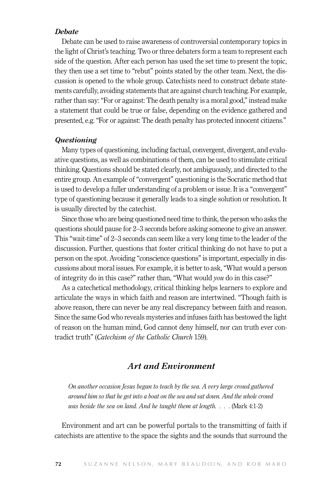## *Debate*

Debate can be used to raise awareness of controversial contemporary topics in the light of Christ's teaching. Two or three debaters form a team to represent each side of the question. After each person has used the set time to present the topic, they then use a set time to "rebut" points stated by the other team. Next, the discussion is opened to the whole group. Catechists need to construct debate statements carefully, avoiding statements that are against church teaching. For example, rather than say: "For or against: The death penalty is a moral good," instead make a statement that could be true or false, depending on the evidence gathered and presented, e.g. "For or against: The death penalty has protected innocent citizens."

### *Questioning*

Many types of questioning, including factual, convergent, divergent, and evaluative questions, as well as combinations of them, can be used to stimulate critical thinking. Questions should be stated clearly, not ambiguously, and directed to the entire group. An example of "convergent" questioning is the Socratic method that is used to develop a fuller understanding of a problem or issue. It is a "convergent" type of questioning because it generally leads to a single solution or resolution. It is usually directed by the catechist.

Since those who are being questioned need time to think, the person who asks the questions should pause for 2–3 seconds before asking someone to give an answer. This "wait-time" of 2–3 seconds can seem like a very long time to the leader of the discussion. Further, questions that foster critical thinking do not have to put a person on the spot. Avoiding "conscience questions" is important, especially in discussions about moral issues. For example, it is better to ask, "What would a person of integrity do in this case?" rather than, "What would *you* do in this case?"

As a catechetical methodology, critical thinking helps learners to explore and articulate the ways in which faith and reason are intertwined. "Though faith is above reason, there can never be any real discrepancy between faith and reason. Since the same God who reveals mysteries and infuses faith has bestowed the light of reason on the human mind, God cannot deny himself, nor can truth ever contradict truth" (*Catechism of the Catholic Church* 159).

# *Art and Environment*

*On another occasion Jesus began to teach by the sea. A very large crowd gathered around him so that he got into a boat on the sea and sat down. And the whole crowd was beside the sea on land. And he taught them at length. . . .* (Mark 4:1-2)

Environment and art can be powerful portals to the transmitting of faith if catechists are attentive to the space the sights and the sounds that surround the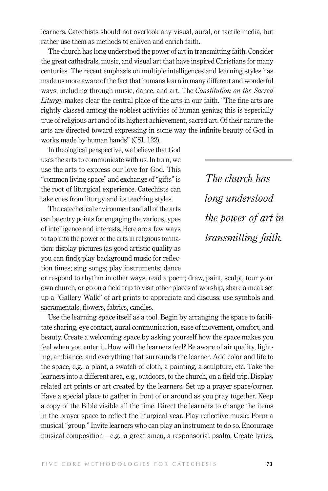learners. Catechists should not overlook any visual, aural, or tactile media, but rather use them as methods to enliven and enrich faith.

The church has long understood the power of art in transmitting faith. Consider the great cathedrals, music, and visual art that have inspired Christians for many centuries. The recent emphasis on multiple intelligences and learning styles has made us more aware of the fact that humans learn in many different and wonderful ways, including through music, dance, and art. The *Constitution on the Sacred Liturgy* makes clear the central place of the arts in our faith. "The fine arts are rightly classed among the noblest activities of human genius; this is especially true of religious art and of its highest achievement, sacred art. Of their nature the arts are directed toward expressing in some way the infinite beauty of God in works made by human hands" (CSL 122).

In theological perspective, we believe that God uses the arts to communicate with us. In turn, we use the arts to express our love for God. This "common living space" and exchange of "gifts" is the root of liturgical experience. Catechists can take cues from liturgy and its teaching styles.

The catechetical environment and all of the arts can be entry points for engaging the various types of intelligence and interests. Here are a few ways to tap into the power of the arts in religious formation: display pictures (as good artistic quality as you can find); play background music for reflection times; sing songs; play instruments; dance

*The church has long understood the power of art in transmitting faith.*

or respond to rhythm in other ways; read a poem; draw, paint, sculpt; tour your own church, or go on a field trip to visit other places of worship, share a meal; set up a "Gallery Walk" of art prints to appreciate and discuss; use symbols and sacramentals, flowers, fabrics, candles.

Use the learning space itself as a tool. Begin by arranging the space to facilitate sharing, eye contact, aural communication, ease of movement, comfort, and beauty. Create a welcoming space by asking yourself how the space makes you feel when you enter it. How will the learners feel? Be aware of air quality, lighting, ambiance, and everything that surrounds the learner. Add color and life to the space, e.g., a plant, a swatch of cloth, a painting, a sculpture, etc. Take the learners into a different area, e.g., outdoors, to the church, on a field trip. Display related art prints or art created by the learners. Set up a prayer space/corner. Have a special place to gather in front of or around as you pray together. Keep a copy of the Bible visible all the time. Direct the learners to change the items in the prayer space to reflect the liturgical year. Play reflective music. Form a musical "group." Invite learners who can play an instrument to do so. Encourage musical composition—e.g., a great amen, a responsorial psalm. Create lyrics,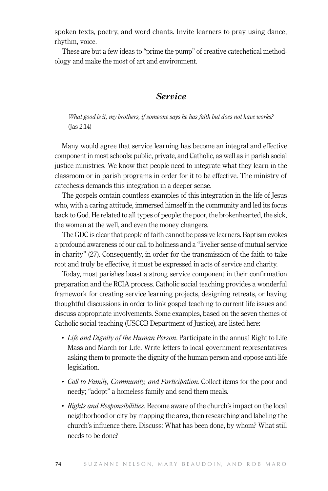spoken texts, poetry, and word chants. Invite learners to pray using dance, rhythm, voice.

These are but a few ideas to "prime the pump" of creative catechetical methodology and make the most of art and environment.

# *Service*

*What good is it, my brothers, if someone says he has faith but does not have works?* (Jas 2:14)

Many would agree that service learning has become an integral and effective component in most schools: public, private, and Catholic, as well as in parish social justice ministries. We know that people need to integrate what they learn in the classroom or in parish programs in order for it to be effective. The ministry of catechesis demands this integration in a deeper sense.

The gospels contain countless examples of this integration in the life of Jesus who, with a caring attitude, immersed himself in the community and led its focus back to God. He related to all types of people: the poor, the brokenhearted, the sick, the women at the well, and even the money changers.

The GDC is clear that people of faith cannot be passive learners. Baptism evokes a profound awareness of our call to holiness and a "livelier sense of mutual service in charity" (27). Consequently, in order for the transmission of the faith to take root and truly be effective, it must be expressed in acts of service and charity.

Today, most parishes boast a strong service component in their confirmation preparation and the RCIA process. Catholic social teaching provides a wonderful framework for creating service learning projects, designing retreats, or having thoughtful discussions in order to link gospel teaching to current life issues and discuss appropriate involvements. Some examples, based on the seven themes of Catholic social teaching (USCCB Department of Justice), are listed here:

- Life and Dignity of the Human Person. Participate in the annual Right to Life Mass and March for Life. Write letters to local government representatives asking them to promote the dignity of the human person and oppose anti-life legislation.
- • *Call to Family, Community, and Participation*. Collect items for the poor and needy; "adopt" a homeless family and send them meals.
- *Rights and Responsibilities*. Become aware of the church's impact on the local neighborhood or city by mapping the area, then researching and labeling the church's influence there. Discuss: What has been done, by whom? What still needs to be done?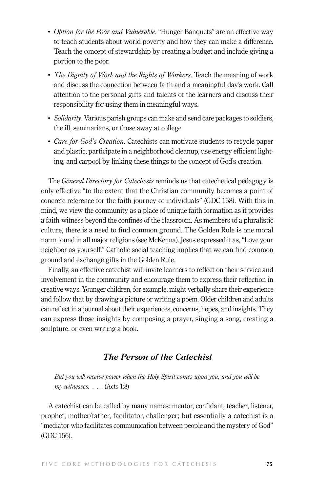- *Option for the Poor and Vulnerable*. "Hunger Banquets" are an effective way to teach students about world poverty and how they can make a difference. Teach the concept of stewardship by creating a budget and include giving a portion to the poor.
- *The Dignity of Work and the Rights of Workers*. Teach the meaning of work and discuss the connection between faith and a meaningful day's work. Call attention to the personal gifts and talents of the learners and discuss their responsibility for using them in meaningful ways.
- *Solidarity*. Various parish groups can make and send care packages to soldiers, the ill, seminarians, or those away at college.
- *Care for God's Creation*. Catechists can motivate students to recycle paper and plastic, participate in a neighborhood cleanup, use energy efficient lighting, and carpool by linking these things to the concept of God's creation.

The *General Directory for Catechesis* reminds us that catechetical pedagogy is only effective "to the extent that the Christian community becomes a point of concrete reference for the faith journey of individuals" (GDC 158). With this in mind, we view the community as a place of unique faith formation as it provides a faith-witness beyond the confines of the classroom. As members of a pluralistic culture, there is a need to find common ground. The Golden Rule is one moral norm found in all major religions (see McKenna). Jesus expressed it as, "Love your neighbor as yourself." Catholic social teaching implies that we can find common ground and exchange gifts in the Golden Rule.

Finally, an effective catechist will invite learners to reflect on their service and involvement in the community and encourage them to express their reflection in creative ways. Younger children, for example, might verbally share their experience and follow that by drawing a picture or writing a poem. Older children and adults can reflect in a journal about their experiences, concerns, hopes, and insights. They can express those insights by composing a prayer, singing a song, creating a sculpture, or even writing a book.

# *The Person of the Catechist*

*But you will receive power when the Holy Spirit comes upon you, and you will be my witnesses. . . .* (Acts 1:8)

A catechist can be called by many names: mentor, confidant, teacher, listener, prophet, mother/father, facilitator, challenger; but essentially a catechist is a "mediator who facilitates communication between people and the mystery of God" (GDC 156).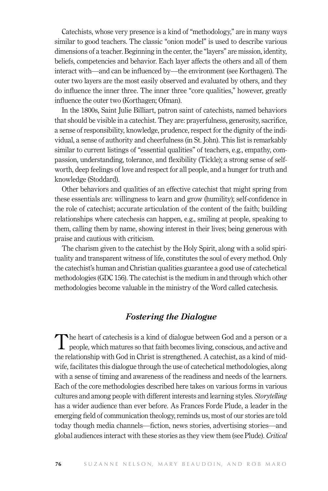Catechists, whose very presence is a kind of "methodology," are in many ways similar to good teachers. The classic "onion model" is used to describe various dimensions of a teacher. Beginning in the center, the "layers" are mission, identity, beliefs, competencies and behavior. Each layer affects the others and all of them interact with—and can be influenced by—the environment (see Korthagen). The outer two layers are the most easily observed and evaluated by others, and they do influence the inner three. The inner three "core qualities," however, greatly influence the outer two (Korthagen; Ofman).

In the 1800s, Saint Julie Billiart, patron saint of catechists, named behaviors that should be visible in a catechist. They are: prayerfulness, generosity, sacrifice, a sense of responsibility, knowledge, prudence, respect for the dignity of the individual, a sense of authority and cheerfulness (in St. John). This list is remarkably similar to current listings of "essential qualities" of teachers, e.g., empathy, compassion, understanding, tolerance, and flexibility (Tickle); a strong sense of selfworth, deep feelings of love and respect for all people, and a hunger for truth and knowledge (Stoddard).

Other behaviors and qualities of an effective catechist that might spring from these essentials are: willingness to learn and grow (humility); self-confidence in the role of catechist; accurate articulation of the content of the faith; building relationships where catechesis can happen, e.g., smiling at people, speaking to them, calling them by name, showing interest in their lives; being generous with praise and cautious with criticism.

The charism given to the catechist by the Holy Spirit, along with a solid spirituality and transparent witness of life, constitutes the soul of every method. Only the catechist's human and Christian qualities guarantee a good use of catechetical methodologies (GDC 156). The catechist is the medium in and through which other methodologies become valuable in the ministry of the Word called catechesis.

# *Fostering the Dialogue*

The heart of catechesis is a kind of dialogue between God and a person or a people, which matures so that faith becomes living, conscious, and active and the relationship with God in Christ is strengthened. A catechist, as a kind of midwife, facilitates this dialogue through the use of catechetical methodologies, along with a sense of timing and awareness of the readiness and needs of the learners. Each of the core methodologies described here takes on various forms in various cultures and among people with different interests and learning styles. *Storytelling* has a wider audience than ever before. As Frances Forde Plude, a leader in the emerging field of communication theology, reminds us, most of our stories are told today though media channels—fiction, news stories, advertising stories—and global audiences interact with these stories as they view them (see Plude). *Critical*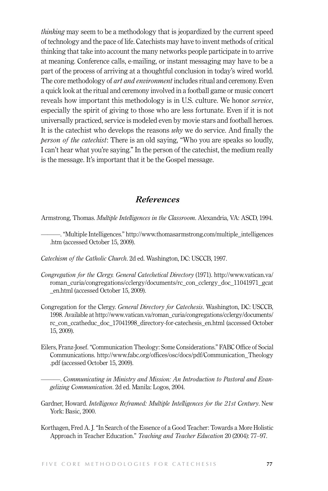*thinking* may seem to be a methodology that is jeopardized by the current speed of technology and the pace of life. Catechists may have to invent methods of critical thinking that take into account the many networks people participate in to arrive at meaning. Conference calls, e-mailing, or instant messaging may have to be a part of the process of arriving at a thoughtful conclusion in today's wired world. The core methodology of *art and environment* includes ritual and ceremony. Even a quick look at the ritual and ceremony involved in a football game or music concert reveals how important this methodology is in U.S. culture. We honor *service*, especially the spirit of giving to those who are less fortunate. Even if it is not universally practiced, service is modeled even by movie stars and football heroes. It is the catechist who develops the reasons *why* we do service. And finally the *person of the catechist*: There is an old saying, "Who you are speaks so loudly, I can't hear what you're saying." In the person of the catechist, the medium really is the message. It's important that it be the Gospel message.

# *References*

Armstrong, Thomas. *Multiple Intelligences in the Classroom*. Alexandria, VA: ASCD, 1994.

- ———. "Multiple Intelligences." http://www.thomasarmstrong.com/multiple\_intelligences .htm (accessed October 15, 2009).
- *Catechism of the Catholic Church*. 2d ed. Washington, DC: USCCB, 1997.
- *Congregation for the Clergy. General Catechetical Directory* (1971). http://www.vatican.va/ roman\_curia/congregations/cclergy/documents/rc\_con\_cclergy\_doc\_11041971\_gcat \_en.html (accessed October 15, 2009).
- Congregation for the Clergy. *General Directory for Catechesis*. Washington, DC: USCCB, 1998. Available at http://www.vatican.va/roman\_curia/congregations/cclergy/documents/ rc\_con\_ccatheduc\_doc\_17041998\_directory-for-catechesis\_en.html (accessed October 15, 2009).
- Eilers, Franz-Josef. "Communication Theology: Some Considerations." FABC Office of Social Communications. http://www.fabc.org/offices/osc/docs/pdf/Communication\_Theology .pdf (accessed October 15, 2009).

———. *Communicating in Ministry and Mission: An Introduction to Pastoral and Evangelizing Communication*. 2d ed. Manila: Logos, 2004.

- Gardner, Howard. *Intelligence Reframed: Multiple Intelligences for the 21st Century*. New York: Basic, 2000.
- Korthagen, Fred A. J. "In Search of the Essence of a Good Teacher: Towards a More Holistic Approach in Teacher Education." *Teaching and Teacher Education* 20 (2004): 77–97.